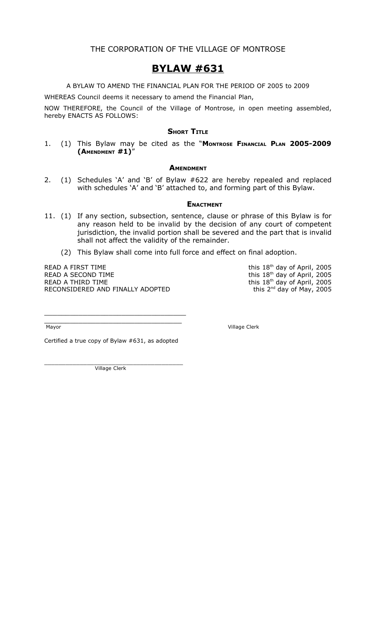### **BYLAW #631**

A BYLAW TO AMEND THE FINANCIAL PLAN FOR THE PERIOD OF 2005 to 2009

WHEREAS Council deems it necessary to amend the Financial Plan,

NOW THEREFORE, the Council of the Village of Montrose, in open meeting assembled, hereby ENACTS AS FOLLOWS:

#### **SHORT TITLE**

1. (1) This Bylaw may be cited as the "**MONTROSE FINANCIAL PLAN 2005-2009 (AMENDMENT #1)**"

#### **AMENDMENT**

2. (1) Schedules 'A' and 'B' of Bylaw #622 are hereby repealed and replaced with schedules 'A' and 'B' attached to, and forming part of this Bylaw.

#### **ENACTMENT**

- 11. (1) If any section, subsection, sentence, clause or phrase of this Bylaw is for any reason held to be invalid by the decision of any court of competent jurisdiction, the invalid portion shall be severed and the part that is invalid shall not affect the validity of the remainder.
	- (2) This Bylaw shall come into full force and effect on final adoption.

READ A FIRST TIME READ A SECOND TIME READ A THIRD TIME RECONSIDERED AND FINALLY ADOPTED this 18<sup>th</sup> day of April, 2005 this  $18<sup>th</sup>$  day of April, 2005 this  $18^{th}$  day of April, 2005 this 2<sup>nd</sup> day of May, 2005

\_\_\_\_\_\_\_\_\_\_\_\_\_\_\_\_\_\_\_\_\_\_\_\_\_\_\_\_\_\_\_\_

Mayor Village Clerk

Certified a true copy of Bylaw #631, as adopted

\_\_\_\_\_\_\_\_\_\_\_\_\_\_\_\_\_\_\_\_\_\_\_\_\_\_\_\_\_\_\_\_\_

\_\_\_\_\_\_\_\_\_\_\_\_\_\_\_\_\_\_\_\_\_\_\_\_\_\_\_\_\_\_\_\_\_\_\_\_\_\_\_ Village Clerk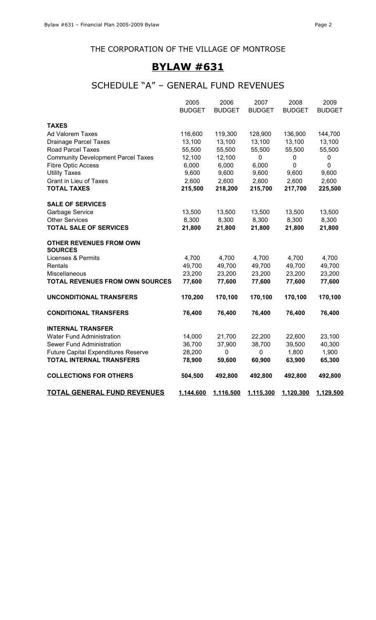### THE CORPORATION OF THE VILLAGE OF MONTROSE

### **BYLAW #631**

## SCHEDULE "A" – GENERAL FUND REVENUES

|                                            | 2005          | 2006          | 2007          | 2008          | 2009          |
|--------------------------------------------|---------------|---------------|---------------|---------------|---------------|
|                                            | <b>BUDGET</b> | <b>BUDGET</b> | <b>BUDGET</b> | <b>BUDGET</b> | <b>BUDGET</b> |
| <b>TAXES</b>                               |               |               |               |               |               |
| Ad Valorem Taxes                           | 116,600       | 119,300       | 128,900       | 136,900       | 144,700       |
| <b>Drainage Parcel Taxes</b>               | 13,100        | 13,100        | 13,100        | 13,100        | 13,100        |
| <b>Road Parcel Taxes</b>                   | 55,500        | 55,500        | 55,500        | 55,500        | 55,500        |
| <b>Community Development Parcel Taxes</b>  | 12,100        | 12,100        | $\pmb{0}$     | 0             | $\pmb{0}$     |
| <b>Fibre Optic Access</b>                  | 6,000         | 6,000         | 6,000         | $\pmb{0}$     | $\mathbf 0$   |
| <b>Utility Taxes</b>                       | 9,600         | 9,600         | 9,600         | 9,600         | 9,600         |
| <b>Grant in Lieu of Taxes</b>              | 2,600         | 2,600         | 2,600         | 2,600         | 2,600         |
| <b>TOTAL TAXES</b>                         | 215,500       | 218,200       | 215,700       | 217,700       | 225,500       |
| <b>SALE OF SERVICES</b>                    |               |               |               |               |               |
| Garbage Service                            | 13,500        | 13,500        | 13,500        | 13,500        | 13,500        |
| <b>Other Services</b>                      | 8,300         | 8,300         | 8,300         | 8,300         | 8,300         |
| <b>TOTAL SALE OF SERVICES</b>              | 21,800        | 21,800        | 21,800        | 21,800        | 21,800        |
| <b>OTHER REVENUES FROM OWN</b>             |               |               |               |               |               |
| <b>SOURCES</b>                             |               |               |               |               |               |
| <b>Licenses &amp; Permits</b>              | 4,700         | 4,700         | 4,700         | 4,700         | 4,700         |
| Rentals                                    | 49,700        | 49,700        | 49,700        | 49,700        | 49,700        |
| Miscellaneous                              | 23,200        | 23,200        | 23,200        | 23,200        | 23,200        |
| <b>TOTAL REVENUES FROM OWN SOURCES</b>     | 77,600        | 77,600        | 77,600        | 77,600        | 77,600        |
| <b>UNCONDITIONAL TRANSFERS</b>             | 170,200       | 170,100       | 170,100       | 170,100       | 170,100       |
| <b>CONDITIONAL TRANSFERS</b>               | 76,400        | 76,400        | 76,400        | 76,400        | 76,400        |
| <b>INTERNAL TRANSFER</b>                   |               |               |               |               |               |
| Water Fund Administration                  | 14,000        | 21,700        | 22,200        | 22,600        | 23,100        |
| Sewer Fund Administration                  | 36,700        | 37,900        | 38,700        | 39,500        | 40,300        |
| <b>Future Capital Expenditures Reserve</b> | 28,200        | 0             | $\pmb{0}$     | 1,800         | 1,900         |
| <b>TOTAL INTERNAL TRANSFERS</b>            | 78,900        | 59,600        | 60,900        | 63,900        | 65,300        |
| <b>COLLECTIONS FOR OTHERS</b>              | 504,500       | 492,800       | 492,800       | 492,800       | 492,800       |
| <b>TOTAL GENERAL FUND REVENUES</b>         | 1,144,600     | 1,116,500     | 1,115,300     | 1,120,300     | 1,129,500     |